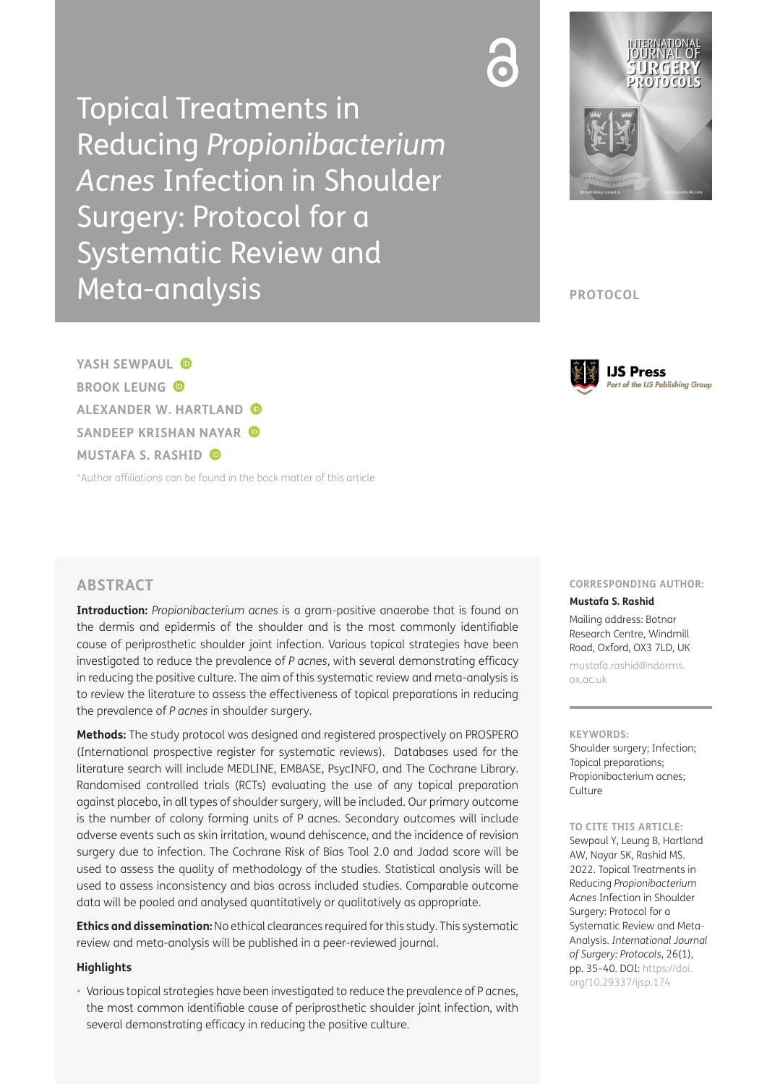Topical Treatments in Reducing *Propionibacterium Acnes* Infection in Shoulder Surgery: Protocol for a Systematic Review and Meta-analysis



**PROTOCOL**



**YASH SEWPAUL BROOK LEUNG ALEXANDER W. HARTLAND SANDEEP KRISHAN NAYAR MUSTAFA S. RASHID**

[\\*Author affiliations can be found in the back matter of this article](#page-4-0)

## **ABSTRACT**

**Introduction:** *Propionibacterium acnes* is a gram-positive anaerobe that is found on the dermis and epidermis of the shoulder and is the most commonly identifiable cause of periprosthetic shoulder joint infection. Various topical strategies have been investigated to reduce the prevalence of *P acnes*, with several demonstrating efficacy in reducing the positive culture. The aim of this systematic review and meta-analysis is to review the literature to assess the effectiveness of topical preparations in reducing the prevalence of *P acnes* in shoulder surgery.

**Methods:** The study protocol was designed and registered prospectively on PROSPERO (International prospective register for systematic reviews). Databases used for the literature search will include MEDLINE, EMBASE, PsycINFO, and The Cochrane Library. Randomised controlled trials (RCTs) evaluating the use of any topical preparation against placebo, in all types of shoulder surgery, will be included. Our primary outcome is the number of colony forming units of P acnes. Secondary outcomes will include adverse events such as skin irritation, wound dehiscence, and the incidence of revision surgery due to infection. The Cochrane Risk of Bias Tool 2.0 and Jadad score will be used to assess the quality of methodology of the studies. Statistical analysis will be used to assess inconsistency and bias across included studies. Comparable outcome data will be pooled and analysed quantitatively or qualitatively as appropriate.

**Ethics and dissemination:** No ethical clearances required for this study. This systematic review and meta-analysis will be published in a peer-reviewed journal.

### **Highlights**

• Various topical strategies have been investigated to reduce the prevalence of P acnes, the most common identifiable cause of periprosthetic shoulder joint infection, with several demonstrating efficacy in reducing the positive culture.

### **CORRESPONDING AUTHOR:**

**Mustafa S. Rashid**

Mailing address: Botnar Research Centre, Windmill Road, Oxford, OX3 7LD, UK

[mustafa.rashid@ndorms.](mailto:mustafa.rashid@ndorms.ox.ac.uk) [ox.ac.uk](mailto:mustafa.rashid@ndorms.ox.ac.uk)

#### **KEYWORDS:**

Shoulder surgery; Infection; Topical preparations; Propionibacterium acnes; Culture

#### **TO CITE THIS ARTICLE:**

Sewpaul Y, Leung B, Hartland AW, Nayar SK, Rashid MS. 2022. Topical Treatments in Reducing *Propionibacterium Acnes* Infection in Shoulder Surgery: Protocol for a Systematic Review and Meta-Analysis. *International Journal of Surgery: Protocols*, 26(1), pp. 35–40. DOI: [https://doi.](https://doi.org/10.29337/ijsp.174) [org/10.29337/ijsp.174](https://doi.org/10.29337/ijsp.174)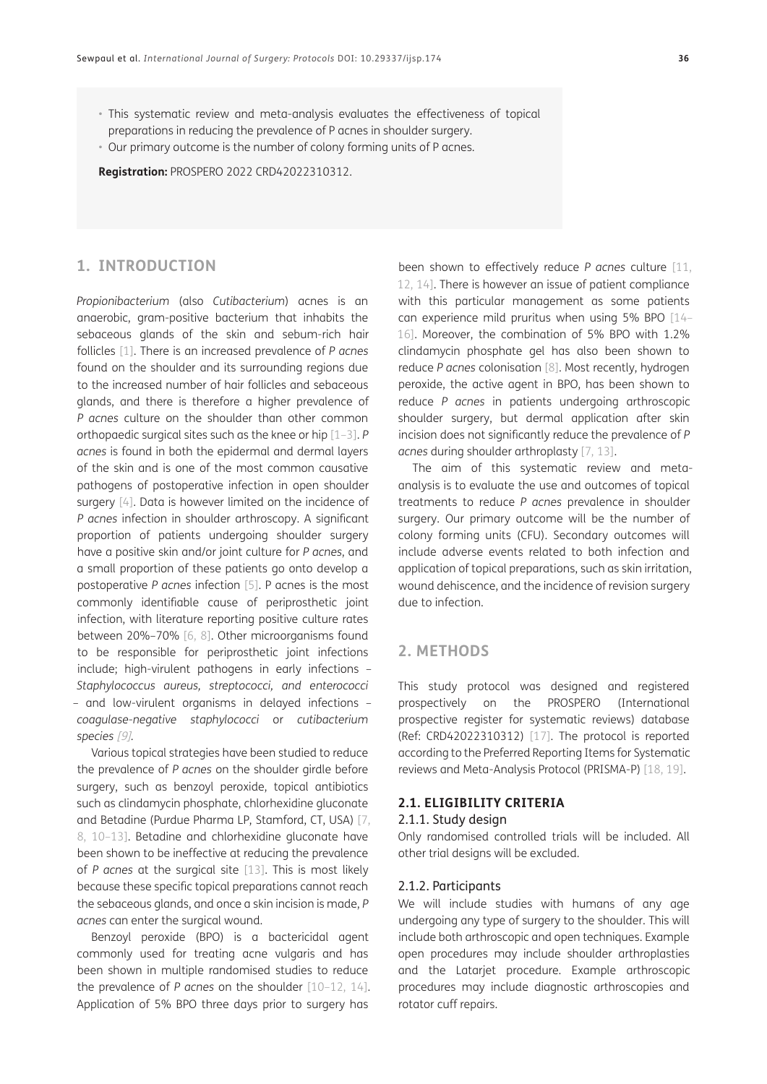- This systematic review and meta-analysis evaluates the effectiveness of topical preparations in reducing the prevalence of P acnes in shoulder surgery.
- Our primary outcome is the number of colony forming units of P acnes.

**Registration:** PROSPERO 2022 CRD42022310312.

## **1. INTRODUCTION**

*Propionibacterium* (also *Cutibacterium*) acnes is an anaerobic, gram-positive bacterium that inhabits the sebaceous glands of the skin and sebum-rich hair follicles [\[1\].](#page-4-1) There is an increased prevalence of *P acnes* found on the shoulder and its surrounding regions due to the increased number of hair follicles and sebaceous glands, and there is therefore a higher prevalence of *P acnes* culture on the shoulder than other common orthopaedic surgical sites such as the knee or hip [\[1–](#page-4-1)[3](#page-4-2)]. *P acnes* is found in both the epidermal and dermal layers of the skin and is one of the most common causative pathogens of postoperative infection in open shoulder surgery [\[4\]](#page-4-3). Data is however limited on the incidence of *P acnes* infection in shoulder arthroscopy. A significant proportion of patients undergoing shoulder surgery have a positive skin and/or joint culture for *P acnes*, and a small proportion of these patients go onto develop a postoperative *P acnes* infection [\[5\].](#page-4-4) P acnes is the most commonly identifiable cause of periprosthetic joint infection, with literature reporting positive culture rates between 20%–70% [\[6](#page-4-5)[, 8\].](#page-4-6) Other microorganisms found to be responsible for periprosthetic joint infections include; high-virulent pathogens in early infections – *Staphylococcus aureus, streptococci, and enterococci –* and low-virulent organisms in delayed infections *– coagulase-negative staphylococci* or *cutibacterium species* [\[9\]](#page-4-7)*.*

Various topical strategies have been studied to reduce the prevalence of *P acnes* on the shoulder girdle before surgery, such as benzoyl peroxide, topical antibiotics such as clindamycin phosphate, chlorhexidine gluconate and Betadine (Purdue Pharma LP, Stamford, CT, USA) [\[7,](#page-4-8) [8,](#page-4-6) [10](#page-4-9)–[13](#page-4-10)]. Betadine and chlorhexidine gluconate have been shown to be ineffective at reducing the prevalence of *P acnes* at the surgical site [\[13\].](#page-4-10) This is most likely because these specific topical preparations cannot reach the sebaceous glands, and once a skin incision is made, *P acnes* can enter the surgical wound.

Benzoyl peroxide (BPO) is a bactericidal agent commonly used for treating acne vulgaris and has been shown in multiple randomised studies to reduce the prevalence of *P acnes* on the shoulder [\[10](#page-4-9)[–12,](#page-4-11) [14](#page-4-12)]. Application of 5% BPO three days prior to surgery has

been shown to effectively reduce *P acnes* culture [\[11](#page-4-13), [12,](#page-4-11) [14\].](#page-4-12) There is however an issue of patient compliance with this particular management as some patients can experience mild pruritus when using 5% BPO [\[14](#page-4-12)– [16\]](#page-4-14). Moreover, the combination of 5% BPO with 1.2% clindamycin phosphate gel has also been shown to reduce *P acnes* colonisation [\[8\].](#page-4-6) Most recently, hydrogen peroxide, the active agent in BPO, has been shown to reduce *P acnes* in patients undergoing arthroscopic shoulder surgery, but dermal application after skin incision does not significantly reduce the prevalence of *P acnes* during shoulder arthroplasty [[7](#page-4-8), [13\]](#page-4-10).

The aim of this systematic review and metaanalysis is to evaluate the use and outcomes of topical treatments to reduce *P acnes* prevalence in shoulder surgery. Our primary outcome will be the number of colony forming units (CFU). Secondary outcomes will include adverse events related to both infection and application of topical preparations, such as skin irritation, wound dehiscence, and the incidence of revision surgery due to infection.

## **2. METHODS**

This study protocol was designed and registered prospectively on the PROSPERO (International prospective register for systematic reviews) database (Ref: CRD42022310312) [\[17\]](#page-4-15). The protocol is reported according to the Preferred Reporting Items for Systematic reviews and Meta-Analysis Protocol (PRISMA-P) [[18,](#page-5-0) [19\]](#page-5-1).

### **2.1. ELIGIBILITY CRITERIA**

#### 2.1.1. Study design

Only randomised controlled trials will be included. All other trial designs will be excluded.

### 2.1.2. Participants

We will include studies with humans of any age undergoing any type of surgery to the shoulder. This will include both arthroscopic and open techniques. Example open procedures may include shoulder arthroplasties and the Latarjet procedure. Example arthroscopic procedures may include diagnostic arthroscopies and rotator cuff repairs.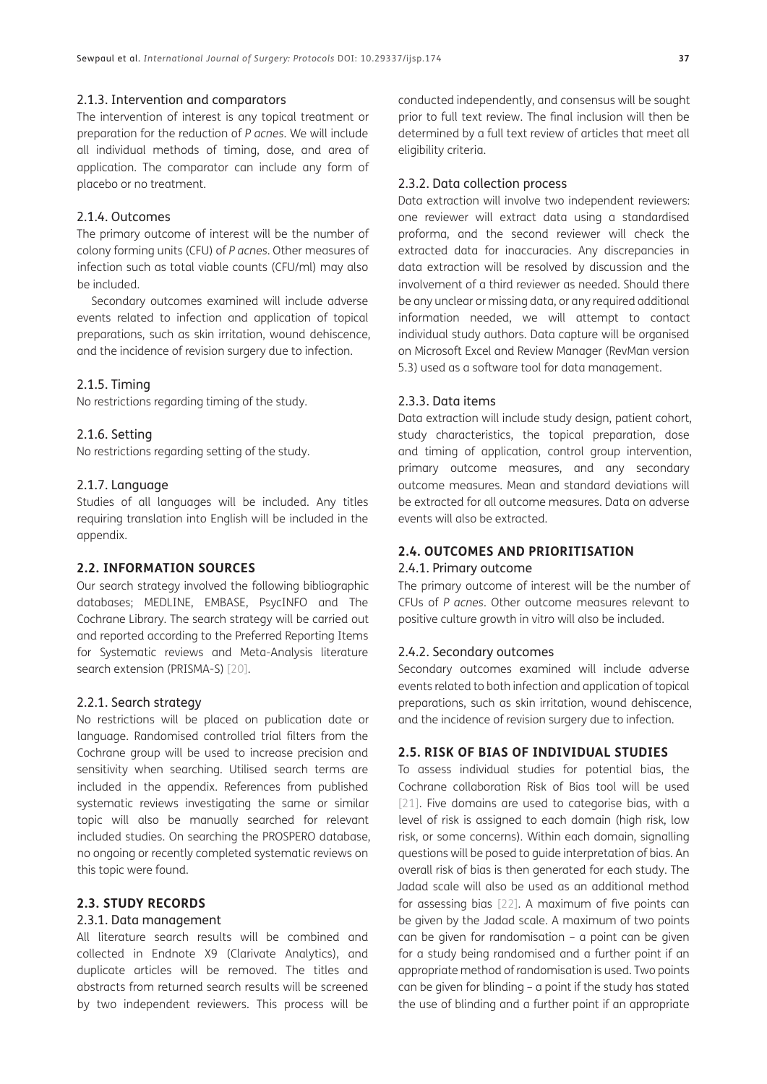### 2.1.3. Intervention and comparators

The intervention of interest is any topical treatment or preparation for the reduction of *P acnes*. We will include all individual methods of timing, dose, and area of application. The comparator can include any form of placebo or no treatment.

### 2.1.4. Outcomes

The primary outcome of interest will be the number of colony forming units (CFU) of *P acnes*. Other measures of infection such as total viable counts (CFU/ml) may also be included.

Secondary outcomes examined will include adverse events related to infection and application of topical preparations, such as skin irritation, wound dehiscence, and the incidence of revision surgery due to infection.

#### 2.1.5. Timing

No restrictions regarding timing of the study.

### 2.1.6. Setting

No restrictions regarding setting of the study.

### 2.1.7. Language

Studies of all languages will be included. Any titles requiring translation into English will be included in the appendix.

### **2.2. INFORMATION SOURCES**

Our search strategy involved the following bibliographic databases; MEDLINE, EMBASE, PsycINFO and The Cochrane Library. The search strategy will be carried out and reported according to the Preferred Reporting Items for Systematic reviews and Meta-Analysis literature search extension (PRISMA-S) [\[20\]](#page-5-2).

### 2.2.1. Search strategy

No restrictions will be placed on publication date or language. Randomised controlled trial filters from the Cochrane group will be used to increase precision and sensitivity when searching. Utilised search terms are included in the appendix. References from published systematic reviews investigating the same or similar topic will also be manually searched for relevant included studies. On searching the PROSPERO database, no ongoing or recently completed systematic reviews on this topic were found.

#### **2.3. STUDY RECORDS**

### 2.3.1. Data management

All literature search results will be combined and collected in Endnote X9 (Clarivate Analytics), and duplicate articles will be removed. The titles and abstracts from returned search results will be screened by two independent reviewers. This process will be

conducted independently, and consensus will be sought prior to full text review. The final inclusion will then be determined by a full text review of articles that meet all eligibility criteria.

#### 2.3.2. Data collection process

Data extraction will involve two independent reviewers: one reviewer will extract data using a standardised proforma, and the second reviewer will check the extracted data for inaccuracies. Any discrepancies in data extraction will be resolved by discussion and the involvement of a third reviewer as needed. Should there be any unclear or missing data, or any required additional information needed, we will attempt to contact individual study authors. Data capture will be organised on Microsoft Excel and Review Manager (RevMan version 5.3) used as a software tool for data management.

### 2.3.3. Data items

Data extraction will include study design, patient cohort, study characteristics, the topical preparation, dose and timing of application, control group intervention, primary outcome measures, and any secondary outcome measures. Mean and standard deviations will be extracted for all outcome measures. Data on adverse events will also be extracted.

## **2.4. OUTCOMES AND PRIORITISATION**

### 2.4.1. Primary outcome

The primary outcome of interest will be the number of CFUs of *P acnes*. Other outcome measures relevant to positive culture growth in vitro will also be included.

#### 2.4.2. Secondary outcomes

Secondary outcomes examined will include adverse events related to both infection and application of topical preparations, such as skin irritation, wound dehiscence, and the incidence of revision surgery due to infection.

### **2.5. RISK OF BIAS OF INDIVIDUAL STUDIES**

To assess individual studies for potential bias, the Cochrane collaboration Risk of Bias tool will be used [\[21\]](#page-5-3). Five domains are used to categorise bias, with a level of risk is assigned to each domain (high risk, low risk, or some concerns). Within each domain, signalling questions will be posed to guide interpretation of bias. An overall risk of bias is then generated for each study. The Jadad scale will also be used as an additional method for assessing bias [\[22\]](#page-5-4). A maximum of five points can be given by the Jadad scale. A maximum of two points can be given for randomisation – a point can be given for a study being randomised and a further point if an appropriate method of randomisation is used. Two points can be given for blinding – a point if the study has stated the use of blinding and a further point if an appropriate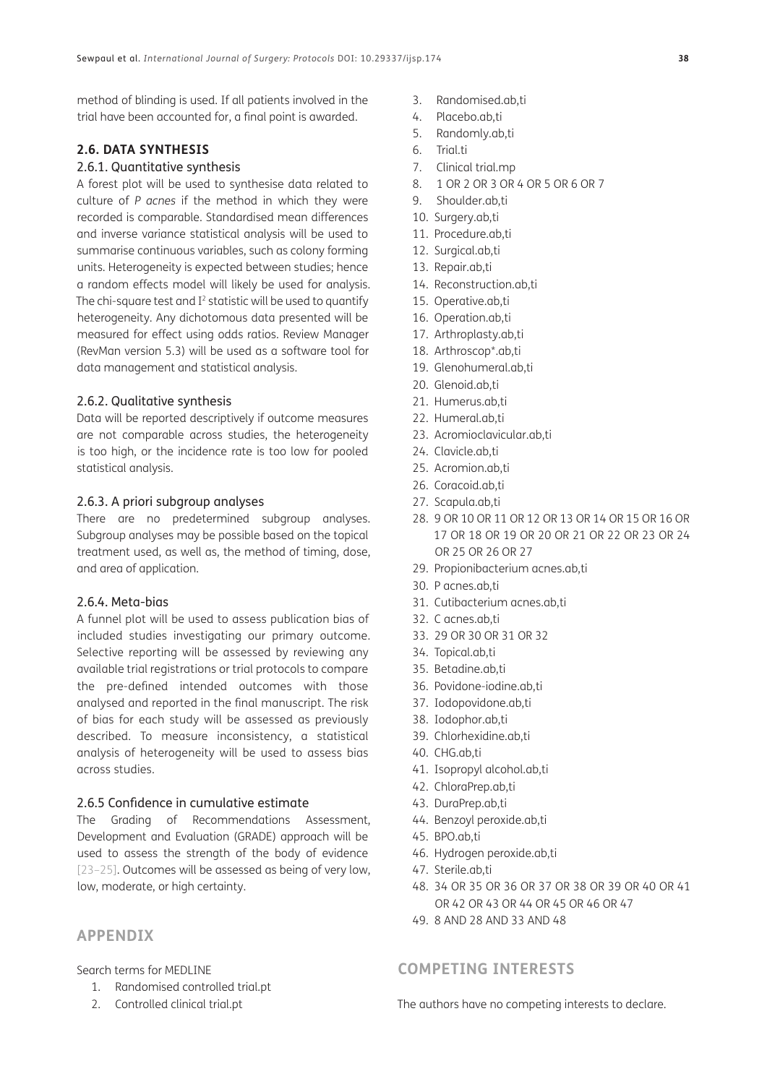method of blinding is used. If all patients involved in the trial have been accounted for, a final point is awarded.

## **2.6. DATA SYNTHESIS**

## 2.6.1. Quantitative synthesis

A forest plot will be used to synthesise data related to culture of *P acnes* if the method in which they were recorded is comparable. Standardised mean differences and inverse variance statistical analysis will be used to summarise continuous variables, such as colony forming units. Heterogeneity is expected between studies; hence a random effects model will likely be used for analysis. The chi-square test and  $I^2$  statistic will be used to quantify heterogeneity. Any dichotomous data presented will be measured for effect using odds ratios. Review Manager (RevMan version 5.3) will be used as a software tool for data management and statistical analysis.

### 2.6.2. Qualitative synthesis

Data will be reported descriptively if outcome measures are not comparable across studies, the heterogeneity is too high, or the incidence rate is too low for pooled statistical analysis.

### 2.6.3. A priori subgroup analyses

There are no predetermined subgroup analyses. Subgroup analyses may be possible based on the topical treatment used, as well as, the method of timing, dose, and area of application.

### 2.6.4. Meta-bias

A funnel plot will be used to assess publication bias of included studies investigating our primary outcome. Selective reporting will be assessed by reviewing any available trial registrations or trial protocols to compare the pre-defined intended outcomes with those analysed and reported in the final manuscript. The risk of bias for each study will be assessed as previously described. To measure inconsistency, a statistical analysis of heterogeneity will be used to assess bias across studies.

#### 2.6.5 Confidence in cumulative estimate

The Grading of Recommendations Assessment, Development and Evaluation (GRADE) approach will be used to assess the strength of the body of evidence [[23](#page-5-5)–[25\]](#page-5-6). Outcomes will be assessed as being of very low, low, moderate, or high certainty.

# **APPENDIX**

Search terms for MEDLINE

- 1. Randomised controlled trial.pt
- 2. Controlled clinical trial.pt
- 3. Randomised.ab,ti
- 4. Placebo.ab,ti
- 5. Randomly.ab,ti
- 6. Trial.ti
- 7. Clinical trial.mp
- 8. 1 OR 2 OR 3 OR 4 OR 5 OR 6 OR 7
- 9. Shoulder.ab,ti
- 10. Surgery.ab,ti
- 11. Procedure.ab,ti
- 12. Surgical.ab,ti
- 13. Repair.ab,ti
- 14. Reconstruction.ab,ti
- 15. Operative.ab,ti
- 16. Operation.ab,ti
- 17. Arthroplasty.ab,ti
- 18. Arthroscop\*.ab,ti
- 19. Glenohumeral.ab,ti
- 20. Glenoid.ab,ti
- 21. Humerus.ab,ti
- 22. Humeral.ab,ti
- 23. Acromioclavicular.ab,ti
- 24. Clavicle.ab,ti
- 25. Acromion.ab,ti
- 26. Coracoid.ab,ti
- 27. Scapula.ab,ti
- 28. 9 OR 10 OR 11 OR 12 OR 13 OR 14 OR 15 OR 16 OR 17 OR 18 OR 19 OR 20 OR 21 OR 22 OR 23 OR 24 OR 25 OR 26 OR 27
- 29. Propionibacterium acnes.ab,ti
- 30. P acnes.ab,ti
- 31. Cutibacterium acnes.ab,ti
- 32. C acnes.ab,ti
- 33. 29 OR 30 OR 31 OR 32
- 34. Topical.ab,ti
- 35. Betadine.ab,ti
- 36. Povidone-iodine.ab,ti
- 37. Iodopovidone.ab,ti
- 38. Iodophor.ab,ti
- 39. Chlorhexidine.ab,ti
- 40. CHG.ab,ti
- 41. Isopropyl alcohol.ab,ti
- 42. ChloraPrep.ab,ti
- 43. DuraPrep.ab,ti
- 44. Benzoyl peroxide.ab,ti
- 45. BPO.ab,ti
- 46. Hydrogen peroxide.ab,ti
- 47. Sterile.ab,ti
- 48. 34 OR 35 OR 36 OR 37 OR 38 OR 39 OR 40 OR 41 OR 42 OR 43 OR 44 OR 45 OR 46 OR 47
- 49. 8 AND 28 AND 33 AND 48

## **COMPETING INTERESTS**

The authors have no competing interests to declare.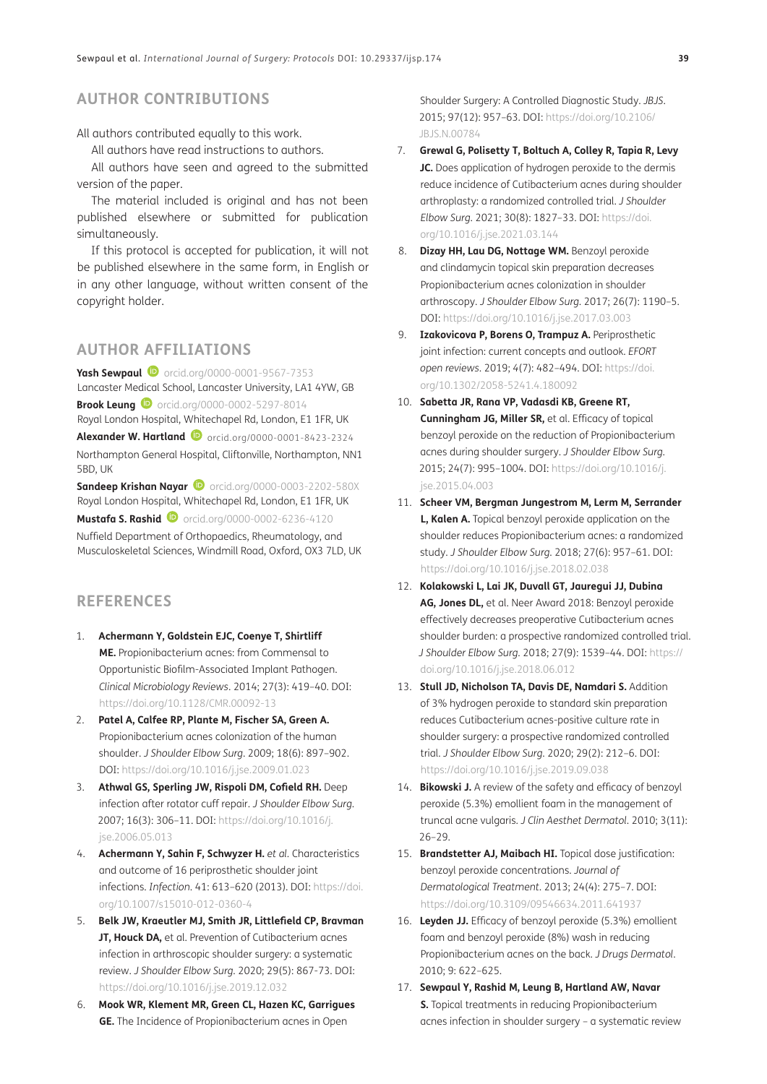# **AUTHOR CONTRIBUTIONS**

#### All authors contributed equally to this work.

All authors have read instructions to authors.

All authors have seen and agreed to the submitted version of the paper.

The material included is original and has not been published elsewhere or submitted for publication simultaneously.

If this protocol is accepted for publication, it will not be published elsewhere in the same form, in English or in any other language, without written consent of the copyright holder.

# <span id="page-4-0"></span>**AUTHOR AFFILIATIONS**

**Yash Sewpaul ©** [orcid.org/0000-0001-9567-7353](https://orcid.org/0000-0001-9567-7353) Lancaster Medical School, Lancaster University, LA1 4YW, GB **Brook Leung D** [orcid.org/0000-0002-5297-8014](https://orcid.org/0000-0002-5297-8014) Royal London Hospital, Whitechapel Rd, London, E1 1FR, UK **Alexander W. Hartland D** [orcid.org/0000-0001-8423-2324](https://orcid.org/0000-0001-8423-2324
) Northampton General Hospital, Cliftonville, Northampton, NN1 5BD, UK

**Sandeep Krishan Nayar D** [orcid.org/0000-0003-2202-580X](https://orcid.org/0000-0003-2202-580X) Royal London Hospital, Whitechapel Rd, London, E1 1FR, UK **Mustafa S. Rashid D** [orcid.org/0000-0002-6236-4120](https://orcid.org/0000-0002-6236-4120)

Nuffield Department of Orthopaedics, Rheumatology, and Musculoskeletal Sciences, Windmill Road, Oxford, OX3 7LD, UK

## **REFERENCES**

- <span id="page-4-1"></span>1. **Achermann Y, Goldstein EJC, Coenye T, Shirtliff ME.** Propionibacterium acnes: from Commensal to Opportunistic Biofilm-Associated Implant Pathogen. *Clinical Microbiology Reviews*. 2014; 27(3): 419–40. DOI: <https://doi.org/10.1128/CMR.00092-13>
- 2. **Patel A, Calfee RP, Plante M, Fischer SA, Green A.**  Propionibacterium acnes colonization of the human shoulder. *J Shoulder Elbow Surg*. 2009; 18(6): 897–902. DOI: <https://doi.org/10.1016/j.jse.2009.01.023>
- <span id="page-4-2"></span>3. **Athwal GS, Sperling JW, Rispoli DM, Cofield RH.** Deep infection after rotator cuff repair. *J Shoulder Elbow Surg*. 2007; 16(3): 306–11. DOI: [https://doi.org/10.1016/j.](https://doi.org/10.1016/j.jse.2006.05.013) [jse.2006.05.013](https://doi.org/10.1016/j.jse.2006.05.013)
- <span id="page-4-3"></span>4. **Achermann Y, Sahin F, Schwyzer H.** *et al.* Characteristics and outcome of 16 periprosthetic shoulder joint infections. *Infection*. 41: 613–620 (2013). DOI: [https://doi.](https://doi.org/10.1007/s15010-012-0360-4) [org/10.1007/s15010-012-0360-4](https://doi.org/10.1007/s15010-012-0360-4)
- <span id="page-4-4"></span>5. **Belk JW, Kraeutler MJ, Smith JR, Littlefield CP, Bravman JT, Houck DA,** et al. Prevention of Cutibacterium acnes infection in arthroscopic shoulder surgery: a systematic review. *J Shoulder Elbow Surg*. 2020; 29(5): 867-73. DOI: <https://doi.org/10.1016/j.jse.2019.12.032>
- <span id="page-4-5"></span>6. **Mook WR, Klement MR, Green CL, Hazen KC, Garrigues GE.** The Incidence of Propionibacterium acnes in Open

Shoulder Surgery: A Controlled Diagnostic Study. *JBJS*. 2015; 97(12): 957–63. DOI: [https://doi.org/10.2106/](https://doi.org/10.2106/JBJS.N.00784) [JBJS.N.00784](https://doi.org/10.2106/JBJS.N.00784)

- <span id="page-4-8"></span>7. **Grewal G, Polisetty T, Boltuch A, Colley R, Tapia R, Levy JC.** Does application of hydrogen peroxide to the dermis reduce incidence of Cutibacterium acnes during shoulder arthroplasty: a randomized controlled trial. *J Shoulder Elbow Surg*. 2021; 30(8): 1827–33. DOI: [https://doi.](https://doi.org/10.1016/j.jse.2021.03.144) [org/10.1016/j.jse.2021.03.144](https://doi.org/10.1016/j.jse.2021.03.144)
- <span id="page-4-6"></span>8. **Dizay HH, Lau DG, Nottage WM.** Benzoyl peroxide and clindamycin topical skin preparation decreases Propionibacterium acnes colonization in shoulder arthroscopy. *J Shoulder Elbow Surg*. 2017; 26(7): 1190–5. DOI:<https://doi.org/10.1016/j.jse.2017.03.003>
- <span id="page-4-7"></span>9. **Izakovicova P, Borens O, Trampuz A.** Periprosthetic joint infection: current concepts and outlook. *EFORT open reviews*. 2019; *4*(7): 482–494. DOI: [https://doi.](https://doi.org/10.1302/2058-5241.4.180092) [org/10.1302/2058-5241.4.180092](https://doi.org/10.1302/2058-5241.4.180092)
- <span id="page-4-9"></span>10. **Sabetta JR, Rana VP, Vadasdi KB, Greene RT, Cunningham JG, Miller SR,** et al. Efficacy of topical benzoyl peroxide on the reduction of Propionibacterium acnes during shoulder surgery. *J Shoulder Elbow Surg*. 2015; 24(7): 995–1004. DOI: [https://doi.org/10.1016/j.](https://doi.org/10.1016/j.jse.2015.04.003) [jse.2015.04.003](https://doi.org/10.1016/j.jse.2015.04.003)
- <span id="page-4-13"></span>11. **Scheer VM, Bergman Jungestrom M, Lerm M, Serrander L, Kalen A.** Topical benzoyl peroxide application on the shoulder reduces Propionibacterium acnes: a randomized study. *J Shoulder Elbow Surg*. 2018; 27(6): 957–61. DOI: <https://doi.org/10.1016/j.jse.2018.02.038>
- <span id="page-4-11"></span>12. **Kolakowski L, Lai JK, Duvall GT, Jauregui JJ, Dubina AG, Jones DL,** et al. Neer Award 2018: Benzoyl peroxide effectively decreases preoperative Cutibacterium acnes shoulder burden: a prospective randomized controlled trial. *J Shoulder Elbow Surg*. 2018; 27(9): 1539–44. DOI: [https://](https://doi.org/10.1016/j.jse.2018.06.012) [doi.org/10.1016/j.jse.2018.06.012](https://doi.org/10.1016/j.jse.2018.06.012)
- <span id="page-4-10"></span>13. **Stull JD, Nicholson TA, Davis DE, Namdari S.** Addition of 3% hydrogen peroxide to standard skin preparation reduces Cutibacterium acnes-positive culture rate in shoulder surgery: a prospective randomized controlled trial. *J Shoulder Elbow Surg*. 2020; 29(2): 212–6. DOI: <https://doi.org/10.1016/j.jse.2019.09.038>
- <span id="page-4-12"></span>14. **Bikowski J.** A review of the safety and efficacy of benzoyl peroxide (5.3%) emollient foam in the management of truncal acne vulgaris. *J Clin Aesthet Dermatol*. 2010; 3(11): 26–29.
- 15. **Brandstetter AJ, Maibach HI.** Topical dose justification: benzoyl peroxide concentrations. *Journal of Dermatological Treatment*. 2013; 24(4): 275–7. DOI: <https://doi.org/10.3109/09546634.2011.641937>
- <span id="page-4-14"></span>16. **Leyden JJ.** Efficacy of benzoyl peroxide (5.3%) emollient foam and benzoyl peroxide (8%) wash in reducing Propionibacterium acnes on the back. *J Drugs Dermatol*. 2010; 9: 622–625.
- <span id="page-4-15"></span>17. **Sewpaul Y, Rashid M, Leung B, Hartland AW, Navar S.** Topical treatments in reducing Propionibacterium acnes infection in shoulder surgery – a systematic review